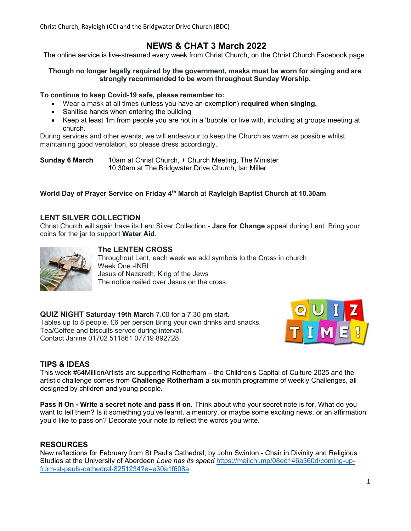Christ Church, Rayleigh (CC) and the Bridgwater Drive Church (BDC)

# NEWS & CHAT 3 March 2022

The online service is live-streamed every week from Christ Church, on the Christ Church Facebook page.

#### Though no longer legally required by the government, masks must be worn for singing and are strongly recommended to be worn throughout Sunday Worship.

#### To continue to keep Covid-19 safe, please remember to:

- Wear a mask at all times (unless you have an exemption) required when singing.
- Sanitise hands when entering the building
- Keep at least 1m from people you are not in a 'bubble' or live with, including at groups meeting at church.

During services and other events, we will endeavour to keep the Church as warm as possible whilst maintaining good ventilation, so please dress accordingly.

**Sunday 6 March** 10am at Christ Church, + Church Meeting, The Minister 10.30am at The Bridgwater Drive Church, Ian Miller

## World Day of Prayer Service on Friday 4<sup>th</sup> March at Rayleigh Baptist Church at 10.30am

## LENT SILVER COLLECTION

Christ Church will again have its Lent Silver Collection - Jars for Change appeal during Lent. Bring your coins for the jar to support Water Aid.



## The LENTEN CROSS

Throughout Lent, each week we add symbols to the Cross in church Week One -INRI Jesus of Nazareth, King of the Jews The notice nailed over Jesus on the cross

QUIZ NIGHT Saturday 19th March 7.00 for a 7:30 pm start. Tables up to 8 people. £6 per person Bring your own drinks and snacks. Tea/Coffee and biscuits served during interval. Contact Janine 01702 511861 07719 892728



## TIPS & IDEAS

This week #64MillionArtists are supporting Rotherham – the Children's Capital of Culture 2025 and the artistic challenge comes from **Challenge Rotherham** a six month programme of weekly Challenges, all designed by children and young people.

Pass It On - Write a secret note and pass it on. Think about who your secret note is for. What do you want to tell them? Is it something you've learnt, a memory, or maybe some exciting news, or an affirmation you'd like to pass on? Decorate your note to reflect the words you write.

## RESOURCES

New reflections for February from St Paul's Cathedral, by John Swinton - Chair in Divinity and Religious Studies at the University of Aberdeen Love has its speed https://mailchi.mp/08ed146a360d/coming-upfrom-st-pauls-cathedral-8251234?e=e30a1f608a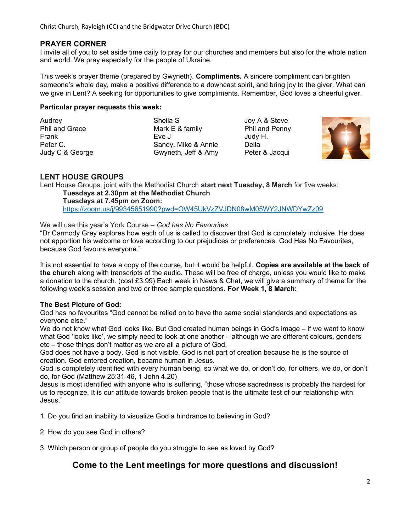## PRAYER CORNER

I invite all of you to set aside time daily to pray for our churches and members but also for the whole nation and world. We pray especially for the people of Ukraine.

This week's prayer theme (prepared by Gwyneth). **Compliments.** A sincere compliment can brighten someone's whole day, make a positive difference to a downcast spirit, and bring joy to the giver. What can we give in Lent? A seeking for opportunities to give compliments. Remember, God loves a cheerful giver.

#### Particular prayer requests this week:

Audrey **Sheila S** Joy A & Steve Phil and Grace Mark E & family Phil and Penny Frank Eve J Eve J Judy H.<br>Peter C. The Contract Control Control Control Control Control Control Control Control Control Control Control<br>Sandy, Mike & Annie Della Sandy, Mike & Annie Judy C & George Gwyneth, Jeff & Amy Peter & Jacqui



## LENT HOUSE GROUPS

Lent House Groups, joint with the Methodist Church start next Tuesday, 8 March for five weeks: Tuesdays at 2.30pm at the Methodist Church

Tuesdays at 7.45pm on Zoom: https://zoom.us/j/99345651990?pwd=OW45UkVzZVJDN08wM05WY2JNWDYwZz09

#### We will use this year's York Course – God has No Favourites

"Dr Carmody Grey explores how each of us is called to discover that God is completely inclusive. He does not apportion his welcome or love according to our prejudices or preferences. God Has No Favourites, because God favours everyone."

It is not essential to have a copy of the course, but it would be helpful. Copies are available at the back of the church along with transcripts of the audio. These will be free of charge, unless you would like to make a donation to the church. (cost £3.99) Each week in News & Chat, we will give a summary of theme for the following week's session and two or three sample questions. For Week 1, 8 March:

#### The Best Picture of God:

God has no favourites "God cannot be relied on to have the same social standards and expectations as everyone else."

We do not know what God looks like. But God created human beings in God's image – if we want to know what God 'looks like', we simply need to look at one another – although we are different colours, genders etc – those things don't matter as we are all a picture of God.

God does not have a body. God is not visible. God is not part of creation because he is the source of creation. God entered creation, became human in Jesus.

God is completely identified with every human being, so what we do, or don't do, for others, we do, or don't do, for God (Matthew 25:31-46, 1 John 4.20)

Jesus is most identified with anyone who is suffering, "those whose sacredness is probably the hardest for us to recognize. It is our attitude towards broken people that is the ultimate test of our relationship with Jesus."

1. Do you find an inability to visualize God a hindrance to believing in God?

2. How do you see God in others?

3. Which person or group of people do you struggle to see as loved by God?

## Come to the Lent meetings for more questions and discussion!